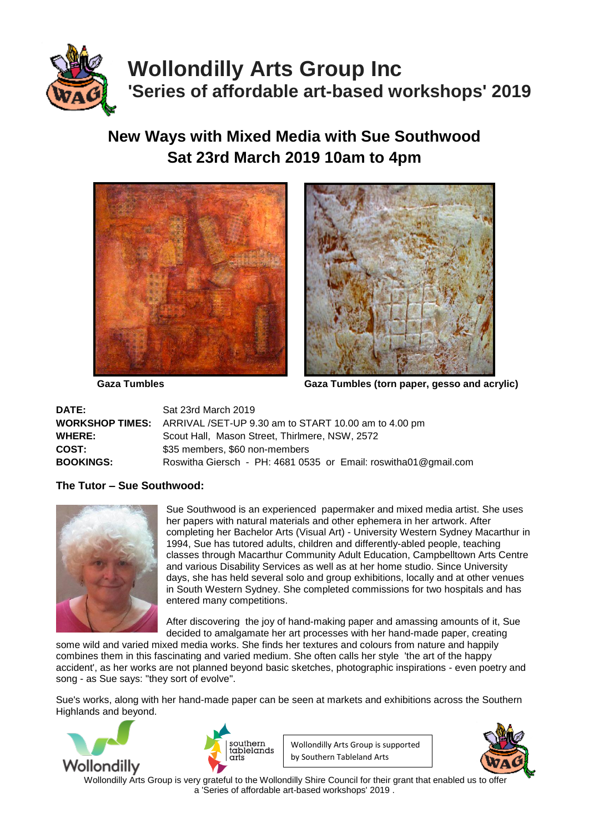

# **Wollondilly Arts Group Inc 'Series of affordable art-based workshops' 2019**

## **New Ways with Mixed Media with Sue Southwood Sat 23rd March 2019 10am to 4pm**





 **Gaza Tumbles Gaza Tumbles (torn paper, gesso and acrylic)** 

| <b>DATE:</b>     | Sat 23rd March 2019                                                         |
|------------------|-----------------------------------------------------------------------------|
|                  | <b>WORKSHOP TIMES:</b> ARRIVAL /SET-UP 9.30 am to START 10.00 am to 4.00 pm |
| <b>WHERE:</b>    | Scout Hall, Mason Street, Thirlmere, NSW, 2572                              |
| <b>COST:</b>     | \$35 members, \$60 non-members                                              |
| <b>BOOKINGS:</b> | Roswitha Giersch - PH: 4681 0535 or Email: roswitha01@gmail.com             |

### **The Tutor – Sue Southwood:**



Sue Southwood is an experienced papermaker and mixed media artist. She uses her papers with natural materials and other ephemera in her artwork. After completing her Bachelor Arts (Visual Art) - University Western Sydney Macarthur in 1994, Sue has tutored adults, children and differently-abled people, teaching classes through Macarthur Community Adult Education, Campbelltown Arts Centre and various Disability Services as well as at her home studio. Since University days, she has held several solo and group exhibitions, locally and at other venues in South Western Sydney. She completed commissions for two hospitals and has entered many competitions.

After discovering the joy of hand-making paper and amassing amounts of it, Sue decided to amalgamate her art processes with her hand-made paper, creating

some wild and varied mixed media works. She finds her textures and colours from nature and happily combines them in this fascinating and varied medium. She often calls her style 'the art of the happy accident', as her works are not planned beyond basic sketches, photographic inspirations - even poetry and song - as Sue says: "they sort of evolve".

Sue's works, along with her hand-made paper can be seen at markets and exhibitions across the Southern Highlands and beyond.





Wollondilly Arts Group is supported by Southern Tableland Arts



Wollondilly Arts Group is very grateful to the Wollondilly Shire Council for their grant that enabled us to offer a 'Series of affordable art-based workshops' 2019 .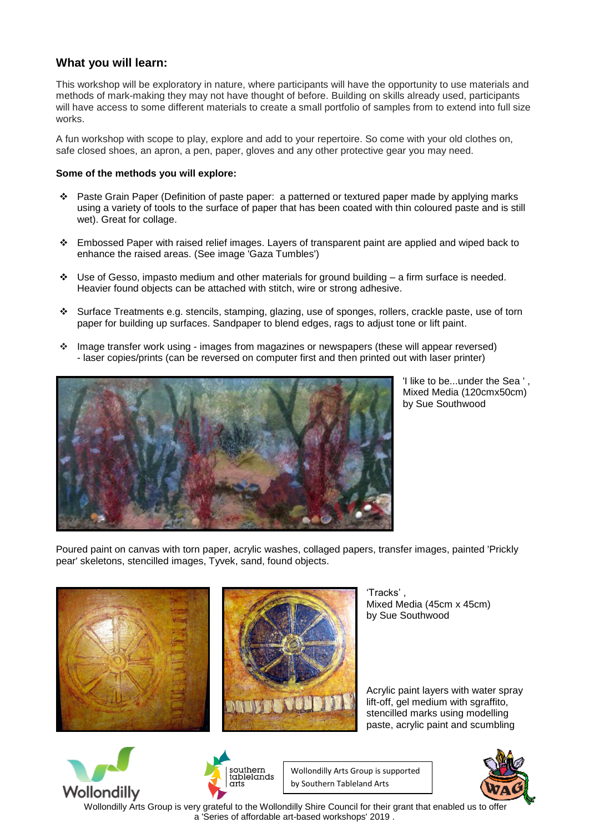### **What you will learn:**

This workshop will be exploratory in nature, where participants will have the opportunity to use materials and methods of mark-making they may not have thought of before. Building on skills already used, participants will have access to some different materials to create a small portfolio of samples from to extend into full size works.

A fun workshop with scope to play, explore and add to your repertoire. So come with your old clothes on, safe closed shoes, an apron, a pen, paper, gloves and any other protective gear you may need.

#### **Some of the methods you will explore:**

- Paste Grain Paper (Definition of paste paper: a patterned or textured paper made by applying marks using a variety of tools to the surface of paper that has been coated with thin coloured paste and is still wet). Great for collage.
- \* Embossed Paper with raised relief images. Layers of transparent paint are applied and wiped back to enhance the raised areas. (See image 'Gaza Tumbles')
- Use of Gesso, impasto medium and other materials for ground building a firm surface is needed. Heavier found objects can be attached with stitch, wire or strong adhesive.
- Surface Treatments e.g. stencils, stamping, glazing, use of sponges, rollers, crackle paste, use of torn paper for building up surfaces. Sandpaper to blend edges, rags to adjust tone or lift paint.
- Image transfer work using images from magazines or newspapers (these will appear reversed) - laser copies/prints (can be reversed on computer first and then printed out with laser printer)



'I like to be...under the Sea ' , Mixed Media (120cmx50cm) by Sue Southwood

Poured paint on canvas with torn paper, acrylic washes, collaged papers, transfer images, painted 'Prickly pear' skeletons, stencilled images, Tyvek, sand, found objects.





'Tracks' , Mixed Media (45cm x 45cm) by Sue Southwood

Acrylic paint layers with water spray lift-off, gel medium with sgraffito, stencilled marks using modelling paste, acrylic paint and scumbling





Wollondilly Arts Group is supported by Southern Tableland Arts



 Wollondilly Arts Group is very grateful to the Wollondilly Shire Council for their grant that enabled us to offer a 'Series of affordable art-based workshops' 2019 .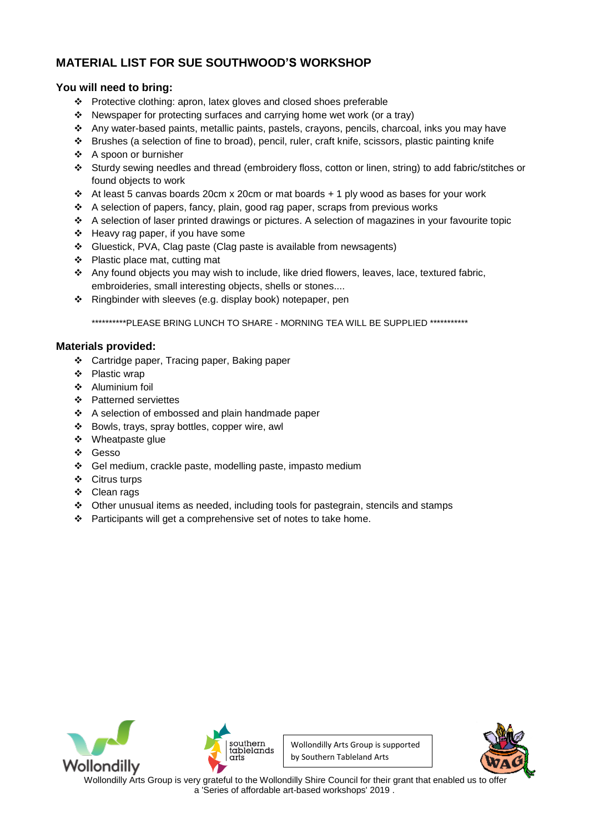### **MATERIAL LIST FOR SUE SOUTHWOOD'S WORKSHOP**

### **You will need to bring:**

- \* Protective clothing: apron, latex gloves and closed shoes preferable
- \* Newspaper for protecting surfaces and carrying home wet work (or a tray)
- $\cdot$  Any water-based paints, metallic paints, pastels, crayons, pencils, charcoal, inks you may have
- Brushes (a selection of fine to broad), pencil, ruler, craft knife, scissors, plastic painting knife
- A spoon or burnisher
- Sturdy sewing needles and thread (embroidery floss, cotton or linen, string) to add fabric/stitches or found objects to work
- At least 5 canvas boards 20cm x 20cm or mat boards + 1 ply wood as bases for your work
- A selection of papers, fancy, plain, good rag paper, scraps from previous works
- A selection of laser printed drawings or pictures. A selection of magazines in your favourite topic
- Heavy rag paper, if you have some
- Gluestick, PVA, Clag paste (Clag paste is available from newsagents)
- Plastic place mat, cutting mat
- Any found objects you may wish to include, like dried flowers, leaves, lace, textured fabric, embroideries, small interesting objects, shells or stones....
- Ringbinder with sleeves (e.g. display book) notepaper, pen

\*\*\*\*\*\*\*\*\*\*PLEASE BRING LUNCH TO SHARE - MORNING TEA WILL BE SUPPLIED \*\*\*\*\*\*\*\*\*\*\*

#### **Materials provided:**

- Cartridge paper, Tracing paper, Baking paper
- ❖ Plastic wrap
- Aluminium foil
- ❖ Patterned serviettes
- ❖ A selection of embossed and plain handmade paper
- Bowls, trays, spray bottles, copper wire, awl
- ❖ Wheatpaste glue
- Gesso
- Gel medium, crackle paste, modelling paste, impasto medium
- Citrus turps
- Clean rags
- Other unusual items as needed, including tools for pastegrain, stencils and stamps
- Participants will get a comprehensive set of notes to take home.







Wollondilly Arts Group is very grateful to the Wollondilly Shire Council for their grant that enabled us to offer a 'Series of affordable art-based workshops' 2019 .